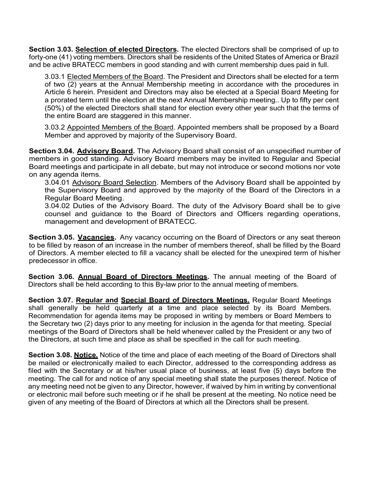**Section 3.03. Selection of elected Directors.** The elected Directors shall be comprised of up to forty-one (41) voting members. Directors shall be residents of the United States of America or Brazil and be active BRATECC members in good standing and with current membership dues paid in full.

3.03.1 Elected Members of the Board. The President and Directors shall be elected for a term of two (2) years at the Annual Membership meeting in accordance with the procedures in Article 6 herein. President and Directors may also be elected at a Special Board Meeting for a prorated term until the election at the next Annual Membership meeting.. Up to fifty per cent (50%) of the elected Directors shall stand for election every other year such that the terms of the entire Board are staggered in this manner.

3.03.2 Appointed Members of the Board. Appointed members shall be proposed by a Board Member and approved by majority of the Supervisory Board.

**Section 3.04. Advisory Board.** The Advisory Board shall consist of an unspecified number of members in good standing. Advisory Board members may be invited to Regular and Special Board meetings and participate in all debate, but may not introduce or second motions nor vote on any agenda items.

3.04.01 Advisory Board Selection. Members of the Advisory Board shall be appointed by the Supervisory Board and approved by the majority of the Board of the Directors in a Regular Board Meeting.

3.04.02 Duties of the Advisory Board. The duty of the Advisory Board shall be to give counsel and guidance to the Board of Directors and Officers regarding operations, management and development of BRATECC.

**Section 3.05. Vacancies.** Any vacancy occurring on the Board of Directors or any seat thereon to be filled by reason of an increase in the number of members thereof, shall be filled by the Board of Directors. A member elected to fill a vacancy shall be elected for the unexpired term of his/her predecessor in office.

**Section 3.06. Annual Board of Directors Meetings.** The annual meeting of the Board of Directors shall be held according to this By-law prior to the annual meeting of members.

**Section 3.07. Regular and Special Board of Directors Meetings.** Regular Board Meetings shall generally be held quarterly at a time and place selected by its Board Members. Recommendation for agenda items may be proposed in writing by members or Board Members to the Secretary two (2) days prior to any meeting for inclusion in the agenda for that meeting. Special meetings of the Board of Directors shall be held whenever called by the President or any two of the Directors, at such time and place as shall be specified in the call for such meeting.

**Section 3.08. Notice.** Notice of the time and place of each meeting of the Board of Directors shall be mailed or electronically mailed to each Director, addressed to the corresponding address as filed with the Secretary or at his/her usual place of business, at least five (5) days before the meeting. The call for and notice of any special meeting shall state the purposes thereof. Notice of any meeting need not be given to any Director, however, if waived by him in writing by conventional or electronic mail before such meeting or if he shall be present at the meeting. No notice need be given of any meeting of the Board of Directors at which all the Directors shall be present.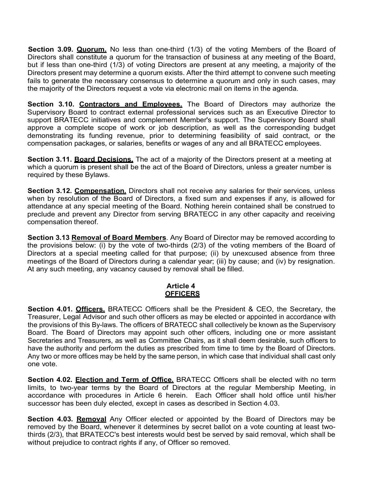**Section 3.09. Quorum.** No less than one-third (1/3) of the voting Members of the Board of Directors shall constitute a quorum for the transaction of business at any meeting of the Board, but if less than one-third (1/3) of voting Directors are present at any meeting, a majority of the Directors present may determine a quorum exists. After the third attempt to convene such meeting fails to generate the necessary consensus to determine a quorum and only in such cases, may the majority of the Directors request a vote via electronic mail on items in the agenda.

**Section 3.10. Contractors and Employees.** The Board of Directors may authorize the Supervisory Board to contract external professional services such as an Executive Director to support BRATECC initiatives and complement Member's support. The Supervisory Board shall approve a complete scope of work or job description, as well as the corresponding budget demonstrating its funding revenue, prior to determining feasibility of said contract, or the compensation packages, or salaries, benefits or wages of any and all BRATECC employees.

**Section 3.11. Board Decisions.** The act of a majority of the Directors present at a meeting at which a quorum is present shall be the act of the Board of Directors, unless a greater number is required by these Bylaws.

**Section 3.12. Compensation.** Directors shall not receive any salaries for their services, unless when by resolution of the Board of Directors, a fixed sum and expenses if any, is allowed for attendance at any special meeting of the Board. Nothing herein contained shall be construed to preclude and prevent any Director from serving BRATECC in any other capacity and receiving compensation thereof.

**Section 3.13 Removal of Board Members**. Any Board of Director may be removed according to the provisions below: (i) by the vote of two-thirds (2/3) of the voting members of the Board of Directors at a special meeting called for that purpose; (ii) by unexcused absence from three meetings of the Board of Directors during a calendar year; (iii) by cause; and (iv) by resignation. At any such meeting, any vacancy caused by removal shall be filled.

## **Article 4 OFFICERS**

**Section 4.01. Officers.** BRATECC Officers shall be the President & CEO, the Secretary, the Treasurer, Legal Advisor and such other officers as may be elected or appointed in accordance with the provisions of this By-laws. The officers of BRATECC shall collectively be known as the Supervisory Board. The Board of Directors may appoint such other officers, including one or more assistant Secretaries and Treasurers, as well as Committee Chairs, as it shall deem desirable, such officers to have the authority and perform the duties as prescribed from time to time by the Board of Directors. Any two or more offices may be held by the same person, in which case that individual shall cast only one vote.

**Section 4.02. Election and Term of Office.** BRATECC Officers shall be elected with no term limits, to two-year terms by the Board of Directors at the regular Membership Meeting, in accordance with procedures in Article 6 herein. Each Officer shall hold office until his/her successor has been duly elected, except in cases as described in Section 4.03.

**Section 4.03. Removal** Any Officer elected or appointed by the Board of Directors may be removed by the Board, whenever it determines by secret ballot on a vote counting at least twothirds (2/3), that BRATECC's best interests would best be served by said removal, which shall be without prejudice to contract rights if any, of Officer so removed.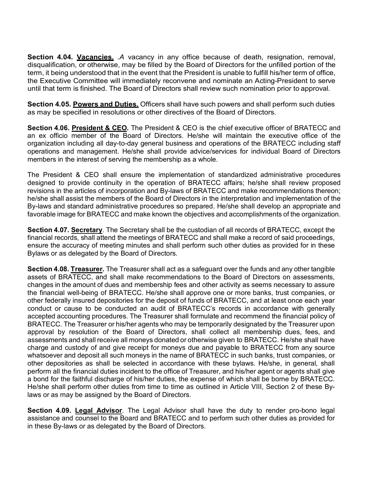**Section 4.04. Vacancies.** *A* vacancy in any office because of death, resignation, removal, disqualification, or otherwise, may be filled by the Board of Directors for the unfilled portion of the term, it being understood that in the event that the President is unable to fulfill his/her term of office, the Executive Committee will immediately reconvene and nominate an Acting-President to serve until that term is finished. The Board of Directors shall review such nomination prior to approval.

**Section 4.05. Powers and Duties.** Officers shall have such powers and shall perform such duties as may be specified in resolutions or other directives of the Board of Directors.

**Section 4.06. President & CEO.** The President & CEO is the chief executive officer of BRATECC and an ex officio member of the Board of Directors. He/she will maintain the executive office of the organization including all day-to-day general business and operations of the BRATECC including staff operations and management. He/she shall provide advice/services for individual Board of Directors members in the interest of serving the membership as a whole.

The President & CEO shall ensure the implementation of standardized administrative procedures designed to provide continuity in the operation of BRATECC affairs; he/she shall review proposed revisions in the articles of incorporation and By-laws of BRATECC and make recommendations thereon; he/she shall assist the members of the Board of Directors in the interpretation and implementation of the By-laws and standard administrative procedures so prepared. He/she shall develop an appropriate and favorable image for BRATECC and make known the objectives and accomplishments of the organization.

**Section 4.07. Secretary**. The Secretary shall be the custodian of all records of BRATECC, except the financial records, shall attend the meetings of BRATECC and shall make a record of said proceedings, ensure the accuracy of meeting minutes and shall perform such other duties as provided for in these Bylaws or as delegated by the Board of Directors.

**Section 4.08. Treasurer.** The Treasurer shall act as a safeguard over the funds and any other tangible assets of BRATECC, and shall make recommendations to the Board of Directors on assessments, changes in the amount of dues and membership fees and other activity as seems necessary to assure the financial well-being of BRATECC. He/she shall approve one or more banks, trust companies, or other federally insured depositories for the deposit of funds of BRATECC, and at least once each year conduct or cause to be conducted an audit of BRATECC's records in accordance with generally accepted accounting procedures. The Treasurer shall formulate and recommend the financial policy of BRATECC. The Treasurer or his/her agents who may be temporarily designated by the Treasurer upon approval by resolution of the Board of Directors, shall collect all membership dues, fees, and assessments and shall receive all moneys donated or otherwise given to BRATECC. He/she shall have charge and custody of and give receipt for moneys due and payable to BRATECC from any source whatsoever and deposit all such moneys in the name of BRATECC in such banks, trust companies, or other depositories as shall be selected in accordance with these bylaws. He/she, in general, shall perform all the financial duties incident to the office of Treasurer, and his/her agent or agents shall give a bond for the faithful discharge of his/her duties, the expense of which shall be borne by BRATECC. He/she shall perform other duties from time to time as outlined in Article VIII, Section 2 of these Bylaws or as may be assigned by the Board of Directors.

**Section 4.09. Legal Advisor**. The Legal Advisor shall have the duty to render pro-bono legal assistance and counsel to the Board and BRATECC and to perform such other duties as provided for in these By-laws or as delegated by the Board of Directors.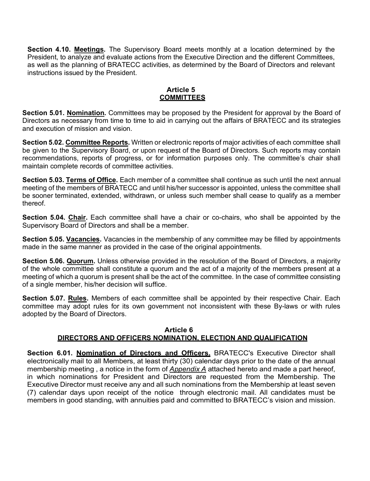**Section 4.10. Meetings.** The Supervisory Board meets monthly at a location determined by the President, to analyze and evaluate actions from the Executive Direction and the different Committees, as well as the planning of BRATECC activities, as determined by the Board of Directors and relevant instructions issued by the President.

#### **Article 5 COMMITTEES**

**Section 5.01. Nomination.** Committees may be proposed by the President for approval by the Board of Directors as necessary from time to time to aid in carrying out the affairs of BRATECC and its strategies and execution of mission and vision.

**Section 5.02. Committee Reports.** Written or electronic reports of major activities of each committee shall be given to the Supervisory Board, or upon request of the Board of Directors. Such reports may contain recommendations, reports of progress, or for information purposes only. The committee's chair shall maintain complete records of committee activities.

**Section 5.03. Terms of Office.** Each member of a committee shall continue as such until the next annual meeting of the members of BRATECC and until his/her successor is appointed, unless the committee shall be sooner terminated, extended, withdrawn, or unless such member shall cease to qualify as a member thereof.

**Section 5.04. Chair.** Each committee shall have a chair or co-chairs, who shall be appointed by the Supervisory Board of Directors and shall be a member.

**Section 5.05. Vacancies.** Vacancies in the membership of any committee may be filled by appointments made in the same manner as provided in the case of the original appointments.

**Section 5.06. Quorum.** Unless otherwise provided in the resolution of the Board of Directors, a majority of the whole committee shall constitute a quorum and the act of a majority of the members present at a meeting of which a quorum is present shall be the act of the committee. In the case of committee consisting of a single member, his/her decision will suffice.

**Section 5.07. Rules.** Members of each committee shall be appointed by their respective Chair. Each committee may adopt rules for its own government not inconsistent with these By-laws or with rules adopted by the Board of Directors.

## **Article 6 DIRECTORS AND OFFICERS NOMINATION, ELECTION AND QUALIFICATION**

**Section 6.01. Nomination of Directors and Officers.** BRATECC's Executive Director shall electronically mail to all Members, at least thirty (30) calendar days prior to the date of the annual membership meeting , a notice in the form of *Appendix A* attached hereto and made a part hereof, in which nominations for President and Directors are requested from the Membership. The Executive Director must receive any and all such nominations from the Membership at least seven (7) calendar days upon receipt of the notice through electronic mail. All candidates must be members in good standing, with annuities paid and committed to BRATECC's vision and mission.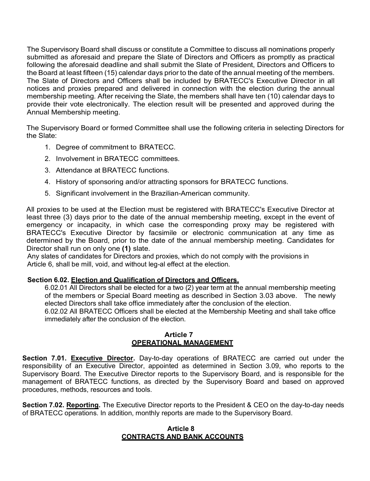The Supervisory Board shall discuss or constitute a Committee to discuss all nominations properly submitted as aforesaid and prepare the Slate of Directors and Officers as promptly as practical following the aforesaid deadline and shall submit the Slate of President, Directors and Officers to the Board at least fifteen (15) calendar days prior to the date of the annual meeting of the members. The Slate of Directors and Officers shall be included by BRATECC's Executive Director in all notices and proxies prepared and delivered in connection with the election during the annual membership meeting. After receiving the Slate, the members shall have ten (10) calendar days to provide their vote electronically. The election result will be presented and approved during the Annual Membership meeting.

The Supervisory Board or formed Committee shall use the following criteria in selecting Directors for the Slate:

- 1. Degree of commitment to BRATECC.
- 2. Involvement in BRATECC committees.
- 3. Attendance at BRATECC functions.
- 4. History of sponsoring and/or attracting sponsors for BRATECC functions.
- 5. Significant involvement in the Brazilian-American community.

All proxies to be used at the Election must be registered with BRATECC's Executive Director at least three (3) days prior to the date of the annual membership meeting, except in the event of emergency or incapacity, in which case the corresponding proxy may be registered with BRATECC's Executive Director by facsimile or electronic communication at any time as determined by the Board, prior to the date of the annual membership meeting. Candidates for Director shall run on only one **(1)** slate.

Any slates of candidates for Directors and proxies, which do not comply with the provisions in Article 6, shall be mill, void, and without leg-al effect at the election.

#### **Section 6.02. Election and Qualification of Directors and Officers.**

6.02.01 All Directors shall be elected for a two (2) year term at the annual membership meeting of the members or Special Board meeting as described in Section 3.03 above. The newly elected Directors shall take office immediately after the conclusion of the election.

6.02.02 All BRATECC Officers shall be elected at the Membership Meeting and shall take office immediately after the conclusion of the election.

#### **Article 7 OPERATIONAL MANAGEMENT**

**Section 7.01. Executive Director.** Day-to-day operations of BRATECC are carried out under the responsibility of an Executive Director, appointed as determined in Section 3.09, who reports to the Supervisory Board. The Executive Director reports to the Supervisory Board, and is responsible for the management of BRATECC functions, as directed by the Supervisory Board and based on approved procedures, methods, resources and tools.

**Section 7.02. Reporting.** The Executive Director reports to the President & CEO on the day-to-day needs of BRATECC operations. In addition, monthly reports are made to the Supervisory Board.

#### **Article 8 CONTRACTS AND BANK ACCOUNTS**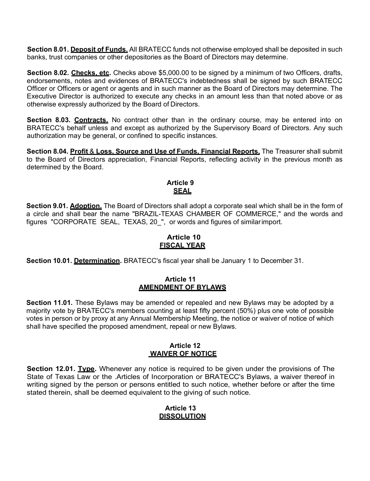**Section 8.01. Deposit of Funds.** All BRATECC funds not otherwise employed shall be deposited in such banks, trust companies or other depositories as the Board of Directors may determine.

**Section 8.02. Checks, etc.** Checks above \$5,000.00 to be signed by a minimum of two Officers, drafts, endorsements, notes and evidences of BRATECC's indebtedness shall be signed by such BRATECC Officer or Officers or agent or agents and in such manner as the Board of Directors may determine. The Executive Director is authorized to execute any checks in an amount less than that noted above or as otherwise expressly authorized by the Board of Directors.

Section 8.03. Contracts. No contract other than in the ordinary course, may be entered into on BRATECC's behalf unless and except as authorized by the Supervisory Board of Directors. Any such authorization may be general, or confined to specific instances.

**Section 8.04. Profit** & **Loss, Source and Use of Funds, Financial Reports,** The Treasurer shall submit to the Board of Directors appreciation, Financial Reports, reflecting activity in the previous month as determined by the Board.

# **Article 9 SEAL**

**Section 9.01. Adoption.** The Board of Directors shall adopt a corporate seal which shall be in the form of a circle and shall bear the name "BRAZIL-TEXAS CHAMBER OF COMMERCE," and the words and figures "CORPORATE SEAL, TEXAS, 20", or words and figures of similar import.

# **Article 10 FISCAL YEAR**

**Section 10.01. Determination.** BRATECC's fiscal year shall be January 1 to December 31.

#### **Article 11 AMENDMENT OF BYLAWS**

**Section 11.01.** These Bylaws may be amended or repealed and new Bylaws may be adopted by a majority vote by BRATECC's members counting at least fifty percent (50%) plus one vote of possible votes in person or by proxy at any Annual Membership Meeting, the notice or waiver of notice of which shall have specified the proposed amendment, repeal or new Bylaws.

#### **Article 12 WAIVER OF NOTICE**

**Section 12.01. Type.** Whenever any notice is required to be given under the provisions of The State of Texas Law or the .Articles of Incorporation or BRATECC's Bylaws, a waiver thereof in writing signed by the person or persons entitled to such notice, whether before or after the time stated therein, shall be deemed equivalent to the giving of such notice.

#### **Article 13 DISSOLUTION**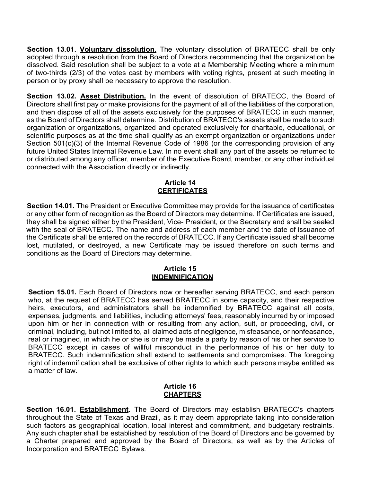Section 13.01. Voluntary dissolution. The voluntary dissolution of BRATECC shall be only adopted through a resolution from the Board of Directors recommending that the organization be dissolved. Said resolution shall be subject to a vote at a Membership Meeting where a minimum of two-thirds (2/3) of the votes cast by members with voting rights, present at such meeting in person or by proxy shall be necessary to approve the resolution.

Section 13.02. Asset Distribution. In the event of dissolution of BRATECC, the Board of Directors shall first pay or make provisions for the payment of all of the liabilities of the corporation, and then dispose of all of the assets exclusively for the purposes of BRATECC in such manner, as the Board of Directors shall determine. Distribution of BRATECC's assets shall be made to such organization or organizations, organized and operated exclusively for charitable, educational, or scientific purposes as at the time shall qualify as an exempt organization or organizations under Section 501(c)(3) of the Internal Revenue Code of 1986 (or the corresponding provision of any future United States Internal Revenue Law. In no event shall any part of the assets be returned to or distributed among any officer, member of the Executive Board, member, or any other individual connected with the Association directly or indirectly.

#### **Article 14 CERTIFICATES**

**Section 14.01.** The President or Executive Committee may provide for the issuance of certificates or any other form of recognition as the Board of Directors may determine. If Certificates are issued, they shall be signed either by the President, Vice- President, or the Secretary and shall be sealed with the seal of BRATECC. The name and address of each member and the date of issuance of the Certificate shall be entered on the records of BRATECC. If any Certificate issued shall become lost, mutilated, or destroyed, a new Certificate may be issued therefore on such terms and conditions as the Board of Directors may determine.

#### **Article 15 INDEMNIFICATION**

**Section 15.01.** Each Board of Directors now or hereafter serving BRATECC, and each person who, at the request of BRATECC has served BRATECC in some capacity, and their respective heirs, executors, and administrators shall be indemnified by BRATECC against all costs, expenses, judgments, and liabilities, including attorneys' fees, reasonably incurred by or imposed upon him or her in connection with or resulting from any action, suit, or proceeding, civil, or criminal, including, but not limited to, all claimed acts of negligence, misfeasance, or nonfeasance, real or imagined, in which he or she is or may be made a party by reason of his or her service to BRATECC except in cases of willful misconduct in the performance of his or her duty to BRATECC. Such indemnification shall extend to settlements and compromises. The foregoing right of indemnification shall be exclusive of other rights to which such persons maybe entitled as a matter of law.

## **Article 16 CHAPTERS**

**Section 16.01. Establishment.** The Board of Directors may establish BRATECC's chapters throughout the State of Texas and Brazil, as it may deem appropriate taking into consideration such factors as geographical location, local interest and commitment, and budgetary restraints. Any such chapter shall be established by resolution of the Board of Directors and be governed by a Charter prepared and approved by the Board of Directors, as well as by the Articles of Incorporation and BRATECC Bylaws.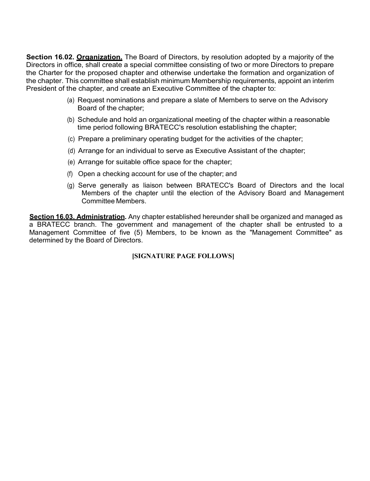**Section 16.02. Organization.** The Board of Directors, by resolution adopted by a majority of the Directors in office, shall create a special committee consisting of two or more Directors to prepare the Charter for the proposed chapter and otherwise undertake the formation and organization of the chapter. This committee shall establish minimum Membership requirements, appoint an interim President of the chapter, and create an Executive Committee of the chapter to:

- (a) Request nominations and prepare a slate of Members to serve on the Advisory Board of the chapter;
- (b) Schedule and hold an organizational meeting of the chapter within a reasonable time period following BRATECC's resolution establishing the chapter;
- (c) Prepare a preliminary operating budget for the activities of the chapter;
- (d) Arrange for an individual to serve as Executive Assistant of the chapter;
- (e) Arrange for suitable office space for the chapter;
- (f) Open a checking account for use of the chapter; and
- (g) Serve generally as liaison between BRATECC's Board of Directors and the local Members of the chapter until the election of the Advisory Board and Management Committee Members.

**Section 16.03. Administration.** Any chapter established hereunder shall be organized and managed as a BRATECC branch. The government and management of the chapter shall be entrusted to a Management Committee of five (5) Members, to be known as the "Management Committee" as determined by the Board of Directors.

**[SIGNATURE PAGE FOLLOWS]**